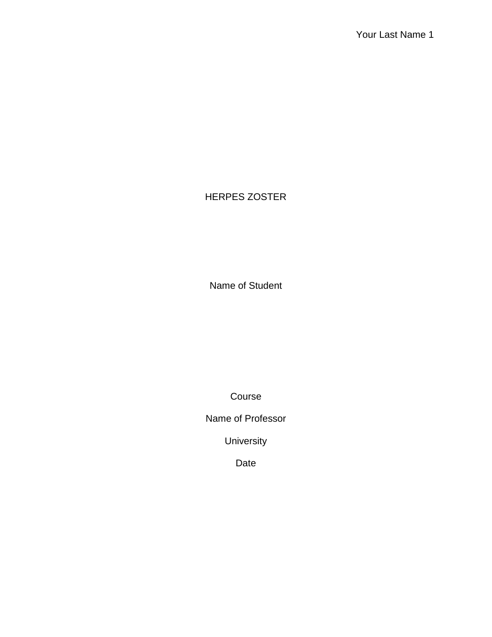# HERPES ZOSTER

Name of Student

Course

Name of Professor

University

Date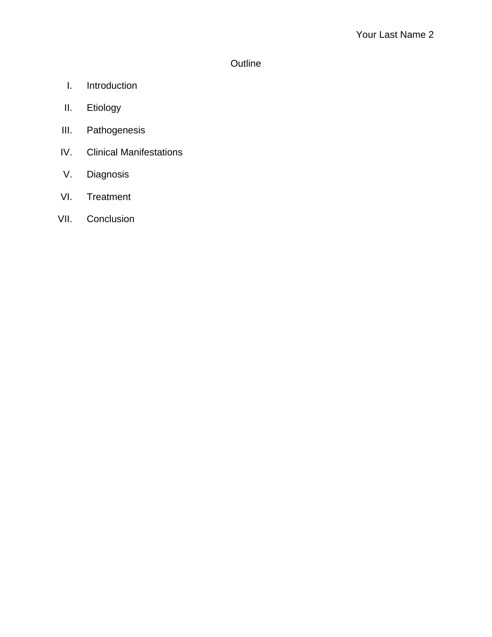# **Outline**

- I. Introduction
- II. Etiology
- III. Pathogenesis
- IV. Clinical Manifestations
- V. Diagnosis
- VI. Treatment
- VII. Conclusion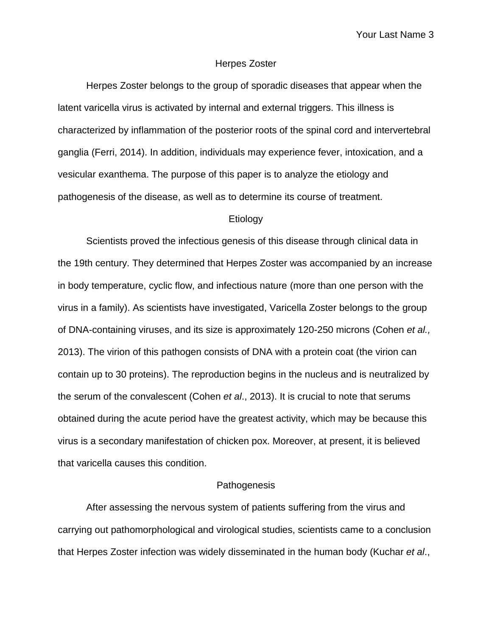### Herpes Zoster

Herpes Zoster belongs to the group of sporadic diseases that appear when the latent varicella virus is activated by internal and external triggers. This illness is characterized by inflammation of the posterior roots of the spinal cord and intervertebral ganglia (Ferri, 2014). In addition, individuals may experience fever, intoxication, and a vesicular exanthema. The purpose of this paper is to analyze the etiology and pathogenesis of the disease, as well as to determine its course of treatment.

#### **Etiology**

Scientists proved the infectious genesis of this disease through clinical data in the 19th century. They determined that Herpes Zoster was accompanied by an increase in body temperature, cyclic flow, and infectious nature (more than one person with the virus in a family). As scientists have investigated, Varicella Zoster belongs to the group of DNA-containing viruses, and its size is approximately 120-250 microns (Cohen *et al.,* 2013). The virion of this pathogen consists of DNA with a protein coat (the virion can contain up to 30 proteins). The reproduction begins in the nucleus and is neutralized by the serum of the convalescent (Cohen *et al*., 2013). It is crucial to note that serums obtained during the acute period have the greatest activity, which may be because this virus is a secondary manifestation of chicken pox. Moreover, at present, it is believed that varicella causes this condition.

### **Pathogenesis**

After assessing the nervous system of patients suffering from the virus and carrying out pathomorphological and virological studies, scientists came to a conclusion that Herpes Zoster infection was widely disseminated in the human body (Kuchar *et al*.,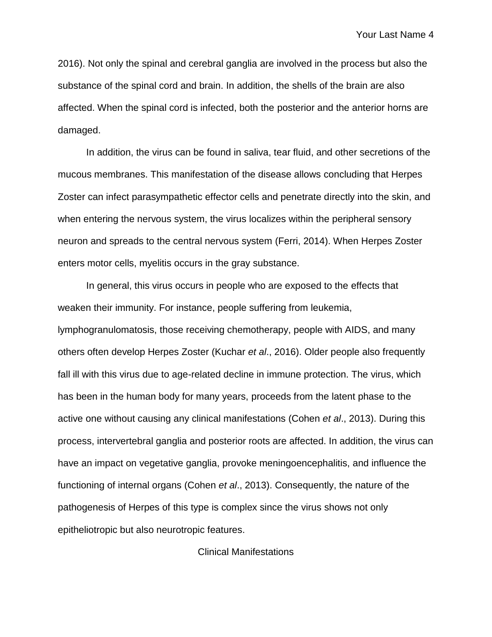2016). Not only the spinal and cerebral ganglia are involved in the process but also the substance of the spinal cord and brain. In addition, the shells of the brain are also affected. When the spinal cord is infected, both the posterior and the anterior horns are damaged.

In addition, the virus can be found in saliva, tear fluid, and other secretions of the mucous membranes. This manifestation of the disease allows concluding that Herpes Zoster can infect parasympathetic effector cells and penetrate directly into the skin, and when entering the nervous system, the virus localizes within the peripheral sensory neuron and spreads to the central nervous system (Ferri, 2014). When Herpes Zoster enters motor cells, myelitis occurs in the gray substance.

In general, this virus occurs in people who are exposed to the effects that weaken their immunity. For instance, people suffering from leukemia, lymphogranulomatosis, those receiving chemotherapy, people with AIDS, and many others often develop Herpes Zoster (Kuchar *et al*., 2016). Older people also frequently fall ill with this virus due to age-related decline in immune protection. The virus, which has been in the human body for many years, proceeds from the latent phase to the active one without causing any clinical manifestations (Cohen *et al*., 2013). During this process, intervertebral ganglia and posterior roots are affected. In addition, the virus can have an impact on vegetative ganglia, provoke meningoencephalitis, and influence the functioning of internal organs (Cohen *et al*., 2013). Consequently, the nature of the pathogenesis of Herpes of this type is complex since the virus shows not only epitheliotropic but also neurotropic features.

Clinical Manifestations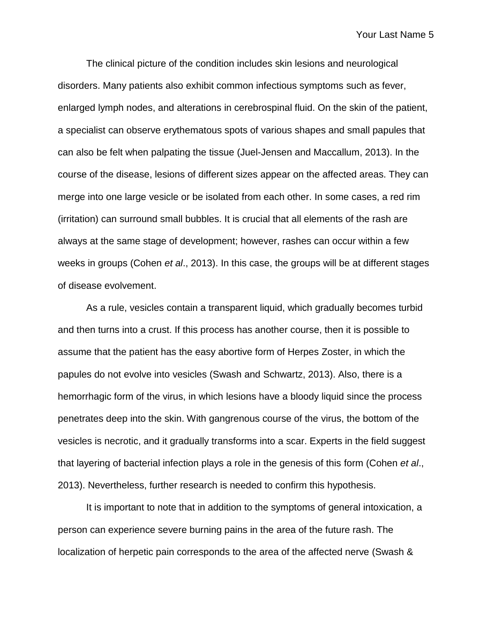The clinical picture of the condition includes skin lesions and neurological disorders. Many patients also exhibit common infectious symptoms such as fever, enlarged lymph nodes, and alterations in cerebrospinal fluid. On the skin of the patient, a specialist can observe erythematous spots of various shapes and small papules that can also be felt when palpating the tissue (Juel-Jensen and Maccallum, 2013). In the course of the disease, lesions of different sizes appear on the affected areas. They can merge into one large vesicle or be isolated from each other. In some cases, a red rim (irritation) can surround small bubbles. It is crucial that all elements of the rash are always at the same stage of development; however, rashes can occur within a few weeks in groups (Cohen *et al*., 2013). In this case, the groups will be at different stages of disease evolvement.

As a rule, vesicles contain a transparent liquid, which gradually becomes turbid and then turns into a crust. If this process has another course, then it is possible to assume that the patient has the easy abortive form of Herpes Zoster, in which the papules do not evolve into vesicles (Swash and Schwartz, 2013). Also, there is a hemorrhagic form of the virus, in which lesions have a bloody liquid since the process penetrates deep into the skin. With gangrenous course of the virus, the bottom of the vesicles is necrotic, and it gradually transforms into a scar. Experts in the field suggest that layering of bacterial infection plays a role in the genesis of this form (Cohen *et al*., 2013). Nevertheless, further research is needed to confirm this hypothesis.

It is important to note that in addition to the symptoms of general intoxication, a person can experience severe burning pains in the area of the future rash. The localization of herpetic pain corresponds to the area of the affected nerve (Swash &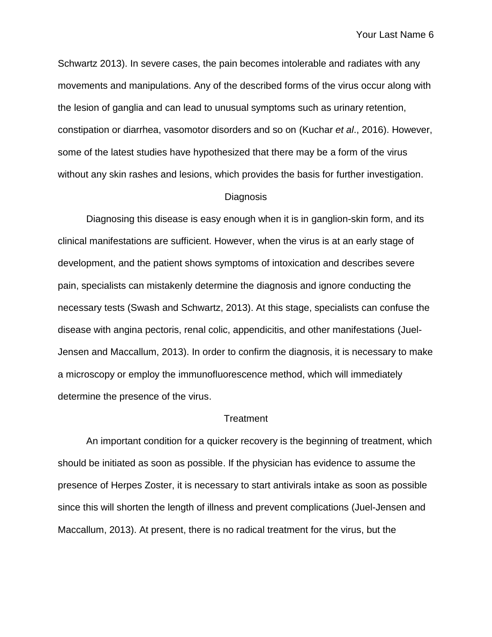Schwartz 2013). In severe cases, the pain becomes intolerable and radiates with any movements and manipulations. Any of the described forms of the virus occur along with the lesion of ganglia and can lead to unusual symptoms such as urinary retention, constipation or diarrhea, vasomotor disorders and so on (Kuchar *et al*., 2016). However, some of the latest studies have hypothesized that there may be a form of the virus without any skin rashes and lesions, which provides the basis for further investigation.

#### Diagnosis

Diagnosing this disease is easy enough when it is in ganglion-skin form, and its clinical manifestations are sufficient. However, when the virus is at an early stage of development, and the patient shows symptoms of intoxication and describes severe pain, specialists can mistakenly determine the diagnosis and ignore conducting the necessary tests (Swash and Schwartz, 2013). At this stage, specialists can confuse the disease with angina pectoris, renal colic, appendicitis, and other manifestations (Juel-Jensen and Maccallum, 2013). In order to confirm the diagnosis, it is necessary to make a microscopy or employ the immunofluorescence method, which will immediately determine the presence of the virus.

### **Treatment**

An important condition for a quicker recovery is the beginning of treatment, which should be initiated as soon as possible. If the physician has evidence to assume the presence of Herpes Zoster, it is necessary to start antivirals intake as soon as possible since this will shorten the length of illness and prevent complications (Juel-Jensen and Maccallum, 2013). At present, there is no radical treatment for the virus, but the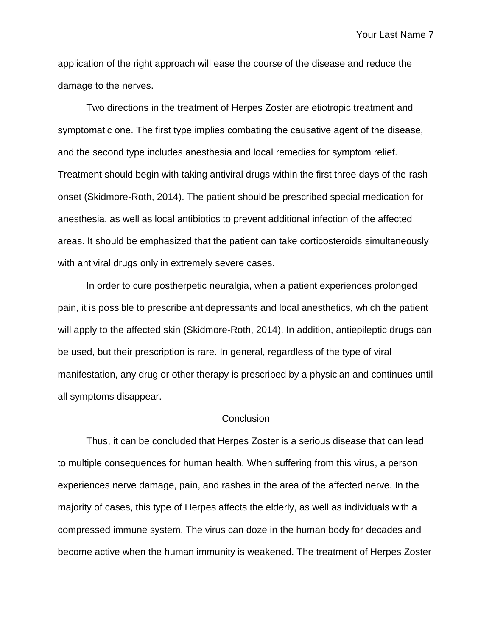application of the right approach will ease the course of the disease and reduce the damage to the nerves.

Two directions in the treatment of Herpes Zoster are etiotropic treatment and symptomatic one. The first type implies combating the causative agent of the disease, and the second type includes anesthesia and local remedies for symptom relief. Treatment should begin with taking antiviral drugs within the first three days of the rash onset (Skidmore-Roth, 2014). The patient should be prescribed special medication for anesthesia, as well as local antibiotics to prevent additional infection of the affected areas. It should be emphasized that the patient can take corticosteroids simultaneously with antiviral drugs only in extremely severe cases.

In order to cure postherpetic neuralgia, when a patient experiences prolonged pain, it is possible to prescribe antidepressants and local anesthetics, which the patient will apply to the affected skin (Skidmore-Roth, 2014). In addition, antiepileptic drugs can be used, but their prescription is rare. In general, regardless of the type of viral manifestation, any drug or other therapy is prescribed by a physician and continues until all symptoms disappear.

### **Conclusion**

Thus, it can be concluded that Herpes Zoster is a serious disease that can lead to multiple consequences for human health. When suffering from this virus, a person experiences nerve damage, pain, and rashes in the area of the affected nerve. In the majority of cases, this type of Herpes affects the elderly, as well as individuals with a compressed immune system. The virus can doze in the human body for decades and become active when the human immunity is weakened. The treatment of Herpes Zoster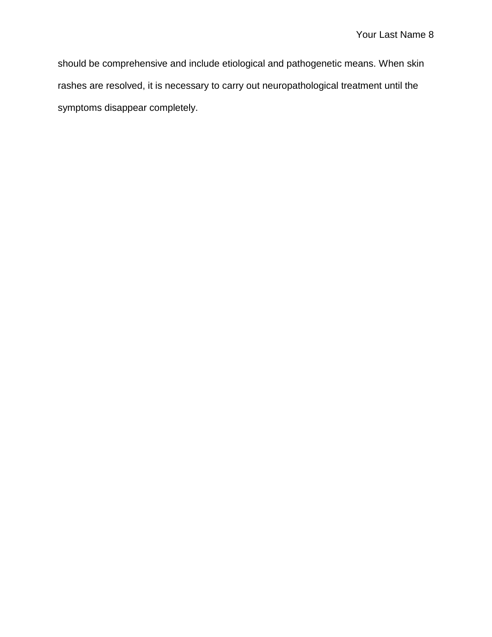should be comprehensive and include etiological and pathogenetic means. When skin rashes are resolved, it is necessary to carry out neuropathological treatment until the symptoms disappear completely.